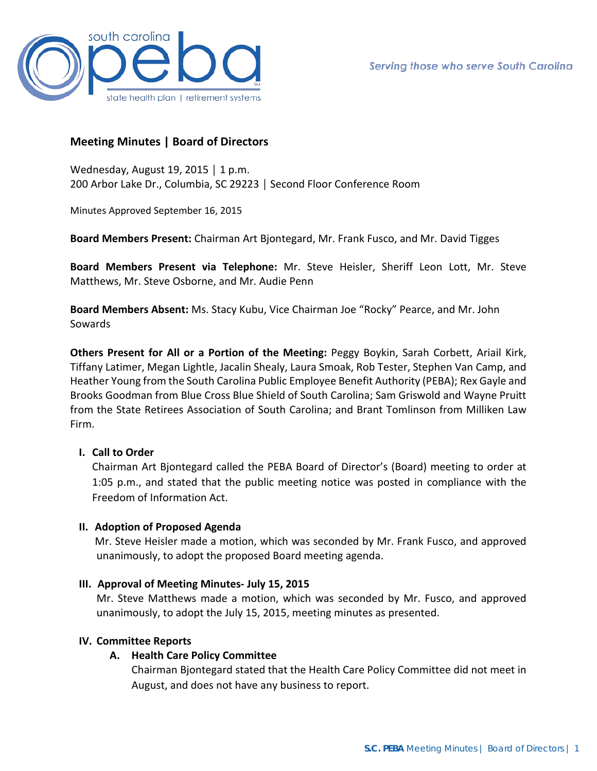

# **Meeting Minutes | Board of Directors**

Wednesday, August 19, 2015 │ 1 p.m. 200 Arbor Lake Dr., Columbia, SC 29223 │ Second Floor Conference Room

Minutes Approved September 16, 2015

**Board Members Present:** Chairman Art Bjontegard, Mr. Frank Fusco, and Mr. David Tigges

**Board Members Present via Telephone:** Mr. Steve Heisler, Sheriff Leon Lott, Mr. Steve Matthews, Mr. Steve Osborne, and Mr. Audie Penn

**Board Members Absent:** Ms. Stacy Kubu, Vice Chairman Joe "Rocky" Pearce, and Mr. John Sowards

**Others Present for All or a Portion of the Meeting:** Peggy Boykin, Sarah Corbett, Ariail Kirk, Tiffany Latimer, Megan Lightle, Jacalin Shealy, Laura Smoak, Rob Tester, Stephen Van Camp, and Heather Young from the South Carolina Public Employee Benefit Authority (PEBA); Rex Gayle and Brooks Goodman from Blue Cross Blue Shield of South Carolina; Sam Griswold and Wayne Pruitt from the State Retirees Association of South Carolina; and Brant Tomlinson from Milliken Law Firm.

#### **I. Call to Order**

Chairman Art Bjontegard called the PEBA Board of Director's (Board) meeting to order at 1:05 p.m., and stated that the public meeting notice was posted in compliance with the Freedom of Information Act.

#### **II. Adoption of Proposed Agenda**

Mr. Steve Heisler made a motion, which was seconded by Mr. Frank Fusco, and approved unanimously, to adopt the proposed Board meeting agenda.

#### **III. Approval of Meeting Minutes- July 15, 2015**

Mr. Steve Matthews made a motion, which was seconded by Mr. Fusco, and approved unanimously, to adopt the July 15, 2015, meeting minutes as presented.

#### **IV. Committee Reports**

# **A. Health Care Policy Committee**

Chairman Bjontegard stated that the Health Care Policy Committee did not meet in August, and does not have any business to report.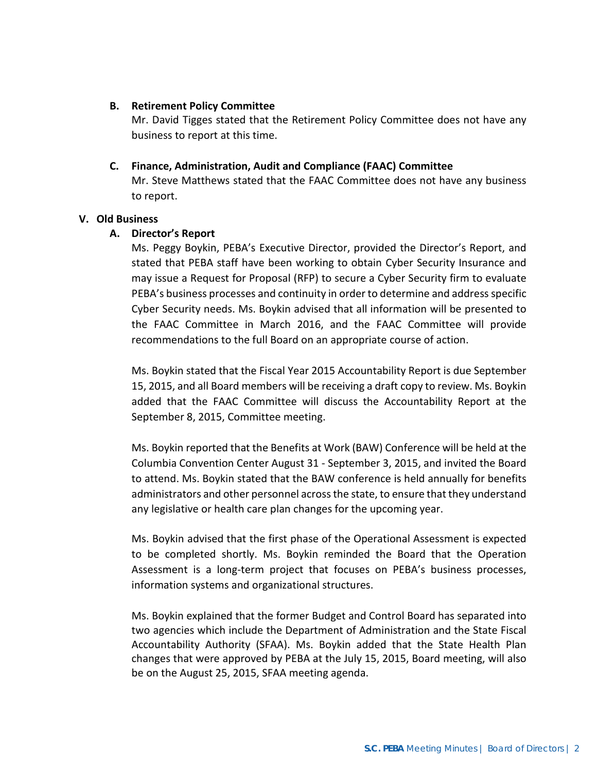### **B. Retirement Policy Committee**

Mr. David Tigges stated that the Retirement Policy Committee does not have any business to report at this time.

### **C. Finance, Administration, Audit and Compliance (FAAC) Committee**

Mr. Steve Matthews stated that the FAAC Committee does not have any business to report.

### **V. Old Business**

### **A. Director's Report**

Ms. Peggy Boykin, PEBA's Executive Director, provided the Director's Report, and stated that PEBA staff have been working to obtain Cyber Security Insurance and may issue a Request for Proposal (RFP) to secure a Cyber Security firm to evaluate PEBA's business processes and continuity in order to determine and address specific Cyber Security needs. Ms. Boykin advised that all information will be presented to the FAAC Committee in March 2016, and the FAAC Committee will provide recommendations to the full Board on an appropriate course of action.

Ms. Boykin stated that the Fiscal Year 2015 Accountability Report is due September 15, 2015, and all Board members will be receiving a draft copy to review. Ms. Boykin added that the FAAC Committee will discuss the Accountability Report at the September 8, 2015, Committee meeting.

Ms. Boykin reported that the Benefits at Work (BAW) Conference will be held at the Columbia Convention Center August 31 - September 3, 2015, and invited the Board to attend. Ms. Boykin stated that the BAW conference is held annually for benefits administrators and other personnel across the state, to ensure that they understand any legislative or health care plan changes for the upcoming year.

Ms. Boykin advised that the first phase of the Operational Assessment is expected to be completed shortly. Ms. Boykin reminded the Board that the Operation Assessment is a long-term project that focuses on PEBA's business processes, information systems and organizational structures.

Ms. Boykin explained that the former Budget and Control Board has separated into two agencies which include the Department of Administration and the State Fiscal Accountability Authority (SFAA). Ms. Boykin added that the State Health Plan changes that were approved by PEBA at the July 15, 2015, Board meeting, will also be on the August 25, 2015, SFAA meeting agenda.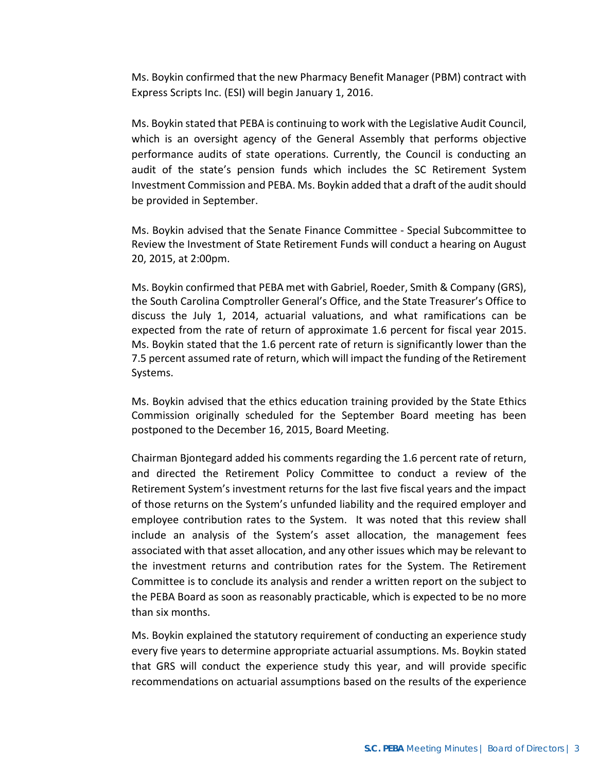Ms. Boykin confirmed that the new Pharmacy Benefit Manager (PBM) contract with Express Scripts Inc. (ESI) will begin January 1, 2016.

Ms. Boykin stated that PEBA is continuing to work with the Legislative Audit Council, which is an oversight agency of the General Assembly that performs objective performance audits of state operations. Currently, the Council is conducting an audit of the state's pension funds which includes the SC Retirement System Investment Commission and PEBA. Ms. Boykin added that a draft of the audit should be provided in September.

Ms. Boykin advised that the Senate Finance Committee - Special Subcommittee to Review the Investment of State Retirement Funds will conduct a hearing on August 20, 2015, at 2:00pm.

Ms. Boykin confirmed that PEBA met with Gabriel, Roeder, Smith & Company (GRS), the South Carolina Comptroller General's Office, and the State Treasurer's Office to discuss the July 1, 2014, actuarial valuations, and what ramifications can be expected from the rate of return of approximate 1.6 percent for fiscal year 2015. Ms. Boykin stated that the 1.6 percent rate of return is significantly lower than the 7.5 percent assumed rate of return, which will impact the funding of the Retirement Systems.

Ms. Boykin advised that the ethics education training provided by the State Ethics Commission originally scheduled for the September Board meeting has been postponed to the December 16, 2015, Board Meeting.

Chairman Bjontegard added his comments regarding the 1.6 percent rate of return, and directed the Retirement Policy Committee to conduct a review of the Retirement System's investment returns for the last five fiscal years and the impact of those returns on the System's unfunded liability and the required employer and employee contribution rates to the System. It was noted that this review shall include an analysis of the System's asset allocation, the management fees associated with that asset allocation, and any other issues which may be relevant to the investment returns and contribution rates for the System. The Retirement Committee is to conclude its analysis and render a written report on the subject to the PEBA Board as soon as reasonably practicable, which is expected to be no more than six months.

Ms. Boykin explained the statutory requirement of conducting an experience study every five years to determine appropriate actuarial assumptions. Ms. Boykin stated that GRS will conduct the experience study this year, and will provide specific recommendations on actuarial assumptions based on the results of the experience